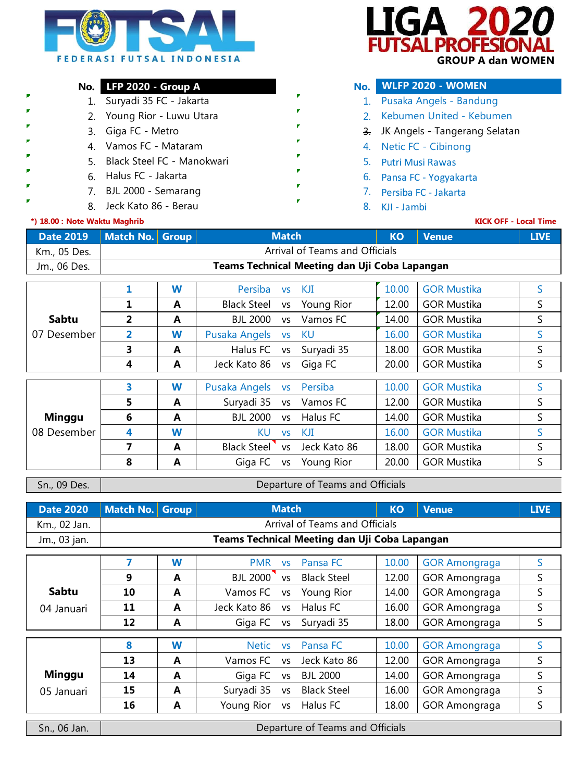

 $\Delta$ SAI PROFF  **GROUP A dan WOMEN**

## **No. LFP 2020 - Group A No.**

- 1. 1. Suryadi 35 FC Jakarta
- 2. 2. Young Rior Luwu Utara
- 3. Giga FC Metro 3.
- Vamos FC Mataram
- 5. 5. Putri Musi Rawas Black Steel FC Manokwari
- Halus FC Jakarta
	- BJL 2000 Semarang
		- 8. Jeck Kato 86 Berau Christianus II (1988). Kulinga Kata Santa Rajarahasi (1988). Kulinga Kata Santa Rajar

## **\*) 18.00 : Note Waktu Maghrib**

F **F** п

## **WLFP 2020 - WOMEN** Pusaka Angels - Bandung

- 2. Kebumen United Kebumen
- 3. JK Angels Tangerang Selatan
- 4. Netic FC Cibinong
- 
- 6. 6. Pansa FC Yogyakarta
- 7. Persiba FC Jakarta
- 

## **KICK OFF - Local Time**

| Date 2019   Match No. Group |  | <b>Match</b>                                  | <b>KO</b> | <b>Venue</b> | <b>LIVE</b> |
|-----------------------------|--|-----------------------------------------------|-----------|--------------|-------------|
| Km., 05 Des.                |  | Arrival of Teams and Officials                |           |              |             |
| Jm., 06 Des.                |  | Teams Technical Meeting dan Uji Coba Lapangan |           |              |             |

|               |                | W | Persiba            | <b>VS</b> | KJI          | 10.00 | <b>GOR Mustika</b> | S  |
|---------------|----------------|---|--------------------|-----------|--------------|-------|--------------------|----|
|               |                |   |                    |           |              |       |                    |    |
|               | 1              | A | <b>Black Steel</b> | <b>VS</b> | Young Rior   | 12.00 | <b>GOR Mustika</b> | S  |
| Sabtu         | $\overline{2}$ | A | <b>BJL 2000</b>    | <b>VS</b> | Vamos FC     | 14.00 | <b>GOR Mustika</b> | S  |
| 07 Desember   | 2              | W | Pusaka Angels      | <b>VS</b> | KU           | 16.00 | <b>GOR Mustika</b> | S  |
|               | 3              | A | Halus FC           | <b>VS</b> | Suryadi 35   | 18.00 | <b>GOR Mustika</b> | S  |
|               | 4              | A | Jeck Kato 86       | VS        | Giga FC      | 20.00 | <b>GOR Mustika</b> | S  |
|               |                |   |                    |           |              |       |                    |    |
|               | 3              | W | Pusaka Angels      | <b>VS</b> | Persiba      | 10.00 | <b>GOR Mustika</b> | S  |
|               | 5              | A | Suryadi 35         | <b>VS</b> | Vamos FC     | 12.00 | <b>GOR Mustika</b> | S  |
| <b>Minggu</b> | 6              | A | BJI 2000           | <b>VS</b> | Halus FC     | 14.00 | <b>GOR Mustika</b> | S  |
| 08 Desember   | 4              | W | KU                 | <b>VS</b> | KJI          | 16.00 | <b>GOR Mustika</b> | S  |
|               | 7              | A | Black Steel        | <b>VS</b> | Jeck Kato 86 | 18.00 | <b>GOR Mustika</b> | S  |
|               | 8              | A | Giga FC            | <b>VS</b> | Young Rior   | 20.00 | <b>GOR Mustika</b> | S. |

Sn., 09 Des.

Departure of Teams and Officials

|              | Date 2020   Match No.   Group |                                | <b>Match</b>                                  | <b>KO</b> | <b>Venue</b> |  | <b>LIVE</b> |  |  |
|--------------|-------------------------------|--------------------------------|-----------------------------------------------|-----------|--------------|--|-------------|--|--|
| Km., 02 Jan. |                               | Arrival of Teams and Officials |                                               |           |              |  |             |  |  |
| Jm., 03 jan. |                               |                                | Teams Technical Meeting dan Uji Coba Lapangan |           |              |  |             |  |  |
|              |                               |                                |                                               |           |              |  |             |  |  |
|              |                               |                                |                                               |           |              |  |             |  |  |

|              |    | W | <b>PMR</b>      | <b>VS</b> | Pansa FC           | 10.00 | <b>GOR Amongraga</b> |   |
|--------------|----|---|-----------------|-----------|--------------------|-------|----------------------|---|
|              | 9  | A | <b>BJL 2000</b> | <b>VS</b> | <b>Black Steel</b> | 12.00 | <b>GOR Amongraga</b> | S |
| <b>Sabtu</b> | 10 | A | Vamos FC        | VS        | Young Rior         | 14.00 | <b>GOR Amongraga</b> | S |
| 04 Januari   | 11 | A | Jeck Kato 86    | <b>VS</b> | Halus FC           | 16.00 | <b>GOR Amongraga</b> | S |
|              | 12 | A | Giga FC vs      |           | Suryadi 35         | 18.00 | <b>GOR Amongraga</b> | S |
|              |    |   |                 |           |                    |       |                      |   |
|              |    |   |                 |           |                    |       |                      |   |
|              | 8  | W | <b>Netic</b>    | <b>VS</b> | Pansa FC           | 10.00 | <b>GOR Amongraga</b> | S |
|              | 13 | A | Vamos FC        | <b>VS</b> | Jeck Kato 86       | 12.00 | <b>GOR Amongraga</b> | S |
| Minggu       | 14 | A | Giga FC         | VS        | <b>BJL 2000</b>    | 14.00 | <b>GOR Amongraga</b> | S |
| 05 Januari   | 15 | A | Suryadi 35      | <b>VS</b> | <b>Black Steel</b> | 16.00 | <b>GOR Amongraga</b> | S |
|              | 16 | A | Young Rior      | VS        | Halus FC           | 18.00 | <b>GOR Amongraga</b> | S |

Sn., 06 Jan.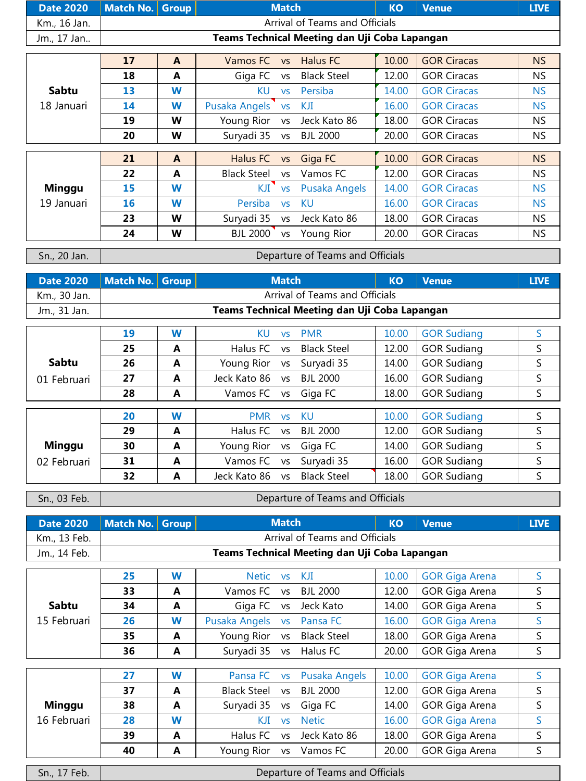| Date 2020 Match No. Group | <b>Match</b> |                                               | КO | Venue | <b>LIVE</b> |
|---------------------------|--------------|-----------------------------------------------|----|-------|-------------|
| Km., 16 Jan.              |              | Arrival of Teams and Officials                |    |       |             |
| Jm., 17 Jan               |              | Teams Technical Meeting dan Uji Coba Lapangan |    |       |             |

|               | 17 | A | Vamos FC           | <b>VS</b> | Halus FC           | 10.00 | <b>GOR Ciracas</b> | NS.       |
|---------------|----|---|--------------------|-----------|--------------------|-------|--------------------|-----------|
|               | 18 | A | Giga FC            | VS        | <b>Black Steel</b> | 12.00 | <b>GOR Ciracas</b> | NS.       |
| <b>Sabtu</b>  | 13 | W | KU                 | <b>VS</b> | Persiba            | 14.00 | <b>GOR Ciracas</b> | <b>NS</b> |
| 18 Januari    | 14 | W | Pusaka Angels      | <b>VS</b> | KJI                | 16.00 | <b>GOR Ciracas</b> | <b>NS</b> |
|               | 19 | W | Young Rior         | <b>VS</b> | Jeck Kato 86       | 18.00 | <b>GOR Ciracas</b> | NS.       |
|               | 20 | W | Suryadi 35         | <b>VS</b> | <b>BJL 2000</b>    | 20.00 | <b>GOR Ciracas</b> | <b>NS</b> |
|               |    |   |                    |           |                    |       |                    |           |
|               | 21 | A | Halus FC           | <b>VS</b> | Giga FC            | 10.00 | <b>GOR Ciracas</b> | NS        |
|               | 22 | A | <b>Black Steel</b> | <b>VS</b> | Vamos FC           | 12.00 | <b>GOR Ciracas</b> | NS.       |
| <b>Minggu</b> | 15 | W | KJI                | <b>VS</b> | Pusaka Angels      | 14.00 | <b>GOR Ciracas</b> | <b>NS</b> |
| 19 Januari    | 16 | W | Persiba            | <b>VS</b> | KU                 | 16.00 | <b>GOR Ciracas</b> | <b>NS</b> |
|               | 23 | W | Suryadi 35         | <b>VS</b> | Jeck Kato 86       | 18.00 | <b>GOR Ciracas</b> | NS.       |
|               | 24 | W | <b>BJL 2000</b>    | <b>VS</b> | Young Rior         | 20.00 | <b>GOR Ciracas</b> | NS.       |

Sn., 20 Jan.

Departure of Teams and Officials

| Date 2020   Match No. Group |  | <b>Match</b>                                  | <b>KO</b> | Venue | <b>LIVE</b> |
|-----------------------------|--|-----------------------------------------------|-----------|-------|-------------|
| Km., 30 Jan.                |  | Arrival of Teams and Officials                |           |       |             |
| Jm., 31 Jan.                |  | Teams Technical Meeting dan Uji Coba Lapangan |           |       |             |

|              | 19 | W | KU           | <b>VS</b> | <b>PMR</b>         | 10.00 | <b>GOR Sudiang</b> |   |
|--------------|----|---|--------------|-----------|--------------------|-------|--------------------|---|
|              | 25 | A | Halus FC     | VS.       | <b>Black Steel</b> | 12.00 | <b>GOR Sudiang</b> | S |
| <b>Sabtu</b> | 26 | A | Young Rior   | <b>VS</b> | Suryadi 35         | 14.00 | <b>GOR Sudiang</b> | S |
| 01 Februari  | 27 | A | Jeck Kato 86 | <b>VS</b> | <b>BJL 2000</b>    | 16.00 | <b>GOR Sudiang</b> | S |
|              | 28 | A | Vamos FC     | VS        | Giga FC            | 18.00 | <b>GOR Sudiang</b> | S |
|              |    |   |              |           |                    |       |                    |   |
|              | 20 | W | <b>PMR</b>   | <b>VS</b> | KU.                | 10.00 | <b>GOR Sudiang</b> | S |
|              | 29 | A | Halus FC     | <b>VS</b> | BJI 2000           | 12.00 | <b>GOR Sudiang</b> | S |
| Minggu       | 30 | A | Young Rior   | <b>VS</b> | Giga FC            | 14.00 | <b>GOR Sudiang</b> | S |
| 02 Februari  | 31 | A | Vamos FC     | VS        | Suryadi 35         | 16.00 | <b>GOR Sudiang</b> | S |
|              | 32 | A | Jeck Kato 86 | <b>VS</b> | <b>Black Steel</b> | 18.00 | <b>GOR Sudiang</b> |   |

Sn., 03 Feb.

Departure of Teams and Officials

| Date 2020   Match No.   Group |  | <b>Match</b>                                  | <b>KO</b> | l Venue <b>'</b> | <b>LIVE</b> |
|-------------------------------|--|-----------------------------------------------|-----------|------------------|-------------|
| Km., 13 Feb.                  |  | Arrival of Teams and Officials                |           |                  |             |
| Jm., 14 Feb.                  |  | Teams Technical Meeting dan Uji Coba Lapangan |           |                  |             |

|               | 25 | W | Netic              | <b>VS</b> | KJI                | 10.00 | <b>GOR Giga Arena</b> | S  |
|---------------|----|---|--------------------|-----------|--------------------|-------|-----------------------|----|
|               | 33 | A | Vamos FC           | VS        | <b>BJL 2000</b>    | 12.00 | <b>GOR Giga Arena</b> | S. |
| <b>Sabtu</b>  | 34 | A | Giga FC            | vs        | Jeck Kato          | 14.00 | <b>GOR Giga Arena</b> | S  |
| 15 Februari   | 26 | W | Pusaka Angels vs   |           | Pansa FC           | 16.00 | <b>GOR Giga Arena</b> | S  |
|               | 35 | A | Young Rior         | VS        | <b>Black Steel</b> | 18.00 | GOR Giga Arena        | S  |
|               | 36 | A | Suryadi 35         | <b>VS</b> | Halus FC           | 20.00 | <b>GOR Giga Arena</b> | S  |
|               |    |   |                    |           |                    |       |                       |    |
|               | 27 | W | Pansa FC           | <b>VS</b> | Pusaka Angels      | 10.00 | <b>GOR Giga Arena</b> | S. |
|               | 37 | A | <b>Black Steel</b> | <b>VS</b> | <b>BJL 2000</b>    | 12.00 | <b>GOR Giga Arena</b> | S. |
| <b>Minggu</b> | 38 | A | Suryadi 35         | <b>VS</b> | Giga FC            | 14.00 | <b>GOR Giga Arena</b> | S  |
| 16 Februari   | 28 | W | KJI                | <b>VS</b> | <b>Netic</b>       | 16.00 | <b>GOR Giga Arena</b> | S  |
|               | 39 | A | Halus FC           | <b>VS</b> | Jeck Kato 86       | 18.00 | <b>GOR Giga Arena</b> | S. |
|               | 40 | A | Young Rior         | VS        | Vamos FC           | 20.00 | <b>GOR Giga Arena</b> | S  |

Sn., 17 Feb.

Departure of Teams and Officials